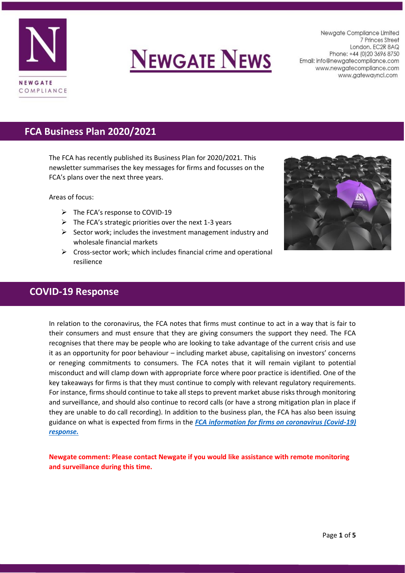

# **NEWGATE NEWS**

Newgate Compliance Limited 7 Princes Street London. EC2R 8AQ Phone: +44 (0) 20 3696 8750 Email: info@newgatecompliance.com www.newgatecompliance.com www.gatewayncl.com

# **FCA Business Plan 2020/2021**

The FCA has recently published its Business Plan for 2020/2021. This newsletter summarises the key messages for firms and focusses on the FCA's plans over the next three years.

Areas of focus:

- ➢ The FCA's response to COVID-19
- $\triangleright$  The FCA's strategic priorities over the next 1-3 years
- $\triangleright$  Sector work; includes the investment management industry and wholesale financial markets
- $\triangleright$  Cross-sector work; which includes financial crime and operational resilience



# **COVID-19 Response**

In relation to the coronavirus, the FCA notes that firms must continue to act in a way that is fair to their consumers and must ensure that they are giving consumers the support they need. The FCA recognises that there may be people who are looking to take advantage of the current crisis and use it as an opportunity for poor behaviour – including market abuse, capitalising on investors' concerns or reneging commitments to consumers. The FCA notes that it will remain vigilant to potential misconduct and will clamp down with appropriate force where poor practice is identified. One of the key takeaways for firms is that they must continue to comply with relevant regulatory requirements. For instance, firms should continue to take all steps to prevent market abuse risks through monitoring and surveillance, and should also continue to record calls (or have a strong mitigation plan in place if they are unable to do call recording). In addition to the business plan, the FCA has also been issuing guidance on what is expected from firms in the *[FCA information for firms on coronavirus \(Covid-19\)](https://www.fca.org.uk/firms/information-firms-coronavirus-covid-19-response)  [response.](https://www.fca.org.uk/firms/information-firms-coronavirus-covid-19-response)*

**Newgate comment: Please contact Newgate if you would like assistance with remote monitoring and surveillance during this time.**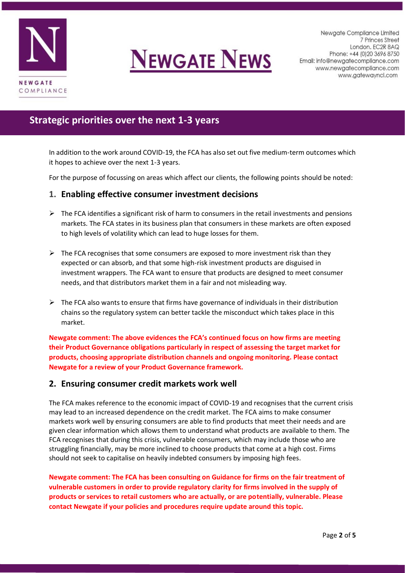



# **Strategic priorities over the next 1-3 years**

In addition to the work around COVID-19, the FCA has also set out five medium-term outcomes which it hopes to achieve over the next 1-3 years.

For the purpose of focussing on areas which affect our clients, the following points should be noted:

#### **1. Enabling effective consumer investment decisions**

- $\triangleright$  The FCA identifies a significant risk of harm to consumers in the retail investments and pensions markets. The FCA states in its business plan that consumers in these markets are often exposed to high levels of volatility which can lead to huge losses for them.
- $\triangleright$  The FCA recognises that some consumers are exposed to more investment risk than they expected or can absorb, and that some high-risk investment products are disguised in investment wrappers. The FCA want to ensure that products are designed to meet consumer needs, and that distributors market them in a fair and not misleading way.
- $\triangleright$  The FCA also wants to ensure that firms have governance of individuals in their distribution chains so the regulatory system can better tackle the misconduct which takes place in this market.

**Newgate comment: The above evidences the FCA's continued focus on how firms are meeting their Product Governance obligations particularly in respect of assessing the target market for products, choosing appropriate distribution channels and ongoing monitoring. Please contact Newgate for a review of your Product Governance framework.** 

#### **2. Ensuring consumer credit markets work well**

The FCA makes reference to the economic impact of COVID-19 and recognises that the current crisis may lead to an increased dependence on the credit market. The FCA aims to make consumer markets work well by ensuring consumers are able to find products that meet their needs and are given clear information which allows them to understand what products are available to them. The FCA recognises that during this crisis, vulnerable consumers, which may include those who are struggling financially, may be more inclined to choose products that come at a high cost. Firms should not seek to capitalise on heavily indebted consumers by imposing high fees.

**Newgate comment: The FCA has been consulting on Guidance for firms on the fair treatment of vulnerable customers in order to provide regulatory clarity for firms involved in the supply of products or services to retail customers who are actually, or are potentially, vulnerable. Please contact Newgate if your policies and procedures require update around this topic.**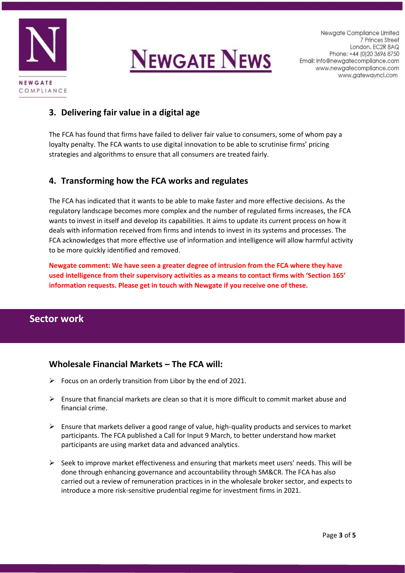



# **3. Delivering fair value in a digital age**

The FCA has found that firms have failed to deliver fair value to consumers, some of whom pay a loyalty penalty. The FCA wants to use digital innovation to be able to scrutinise firms' pricing strategies and algorithms to ensure that all consumers are treated fairly.

# **4. Transforming how the FCA works and regulates**

The FCA has indicated that it wants to be able to make faster and more effective decisions. As the regulatory landscape becomes more complex and the number of regulated firms increases, the FCA wants to invest in itself and develop its capabilities. It aims to update its current process on how it deals with information received from firms and intends to invest in its systems and processes. The FCA acknowledges that more effective use of information and intelligence will allow harmful activity to be more quickly identified and removed.

**Newgate comment: We have seen a greater degree of intrusion from the FCA where they have used intelligence from their supervisory activities as a means to contact firms with 'Section 165' information requests. Please get in touch with Newgate if you receive one of these.**

# **Sector work**

# **Wholesale Financial Markets – The FCA will:**

- $\triangleright$  Focus on an orderly transition from Libor by the end of 2021.
- $\triangleright$  Ensure that financial markets are clean so that it is more difficult to commit market abuse and financial crime.
- $\triangleright$  Ensure that markets deliver a good range of value, high-quality products and services to market participants. The FCA published a Call for Input 9 March, to better understand how market participants are using market data and advanced analytics.
- $\triangleright$  Seek to improve market effectiveness and ensuring that markets meet users' needs. This will be done through enhancing governance and accountability through SM&CR. The FCA has also carried out a review of remuneration practices in in the wholesale broker sector, and expects to introduce a more risk-sensitive prudential regime for investment firms in 2021.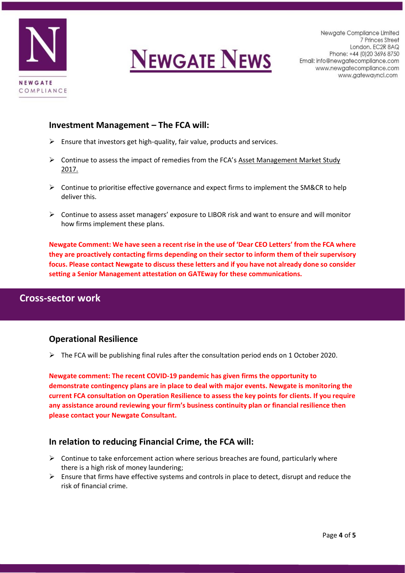



#### **Investment Management – The FCA will:**

- $\triangleright$  Ensure that investors get high-quality, fair value, products and services.
- $\triangleright$  Continue to assess the impact of remedies from the FCA's Asset Management Market Study 2017.
- $\triangleright$  Continue to prioritise effective governance and expect firms to implement the SM&CR to help deliver this.
- ➢ Continue to assess asset managers' exposure to LIBOR risk and want to ensure and will monitor how firms implement these plans.

**Newgate Comment: We have seen a recent rise in the use of 'Dear CEO Letters' from the FCA where they are proactively contacting firms depending on their sector to inform them of their supervisory focus. Please contact Newgate to discuss these letters and if you have not already done so consider setting a Senior Management attestation on GATEway for these communications.** 

# **Cross-sector work**

#### **Operational Resilience**

 $\triangleright$  The FCA will be publishing final rules after the consultation period ends on 1 October 2020.

**Newgate comment: The recent COVID-19 pandemic has given firms the opportunity to demonstrate contingency plans are in place to deal with major events. Newgate is monitoring the current FCA consultation on Operation Resilience to assess the key points for clients. If you require any assistance around reviewing your firm's business continuity plan or financial resilience then please contact your Newgate Consultant.** 

# **In relation to reducing Financial Crime, the FCA will:**

- $\triangleright$  Continue to take enforcement action where serious breaches are found, particularly where there is a high risk of money laundering;
- $\triangleright$  Ensure that firms have effective systems and controls in place to detect, disrupt and reduce the risk of financial crime.